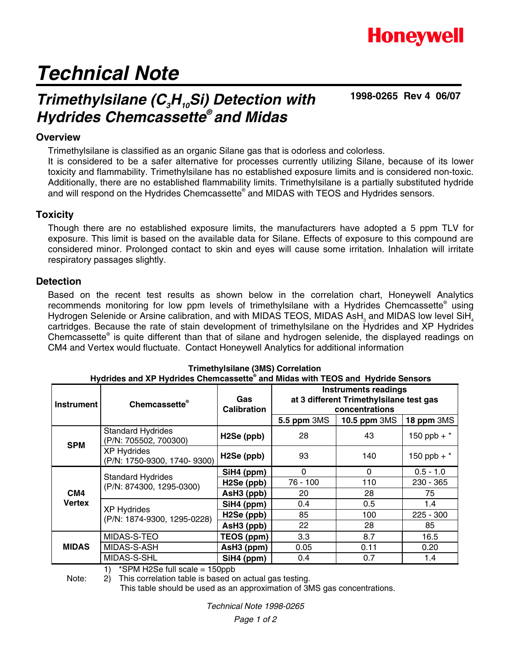### **Honeywell**

# *Technical Note*

### *Trimethylsilane (C3H10Si) Detection with Hydrides Chemcassette® and Midas*

**1998-0265 Rev 4 06/07**

#### **Overview**

Trimethylsilane is classified as an organic Silane gas that is odorless and colorless.

It is considered to be a safer alternative for processes currently utilizing Silane, because of its lower toxicity and flammability. Trimethylsilane has no established exposure limits and is considered non-toxic. Additionally, there are no established flammability limits. Trimethylsilane is a partially substituted hydride and will respond on the Hydrides Chemcassette® and MIDAS with TEOS and Hydrides sensors.

#### **Toxicity**

Though there are no established exposure limits, the manufacturers have adopted a 5 ppm TLV for exposure. This limit is based on the available data for Silane. Effects of exposure to this compound are considered minor. Prolonged contact to skin and eyes will cause some irritation. Inhalation will irritate respiratory passages slightly.

#### **Detection**

Based on the recent test results as shown below in the correlation chart, Honeywell Analytics recommends monitoring for low ppm levels of trimethylsilane with a Hydrides Chemcassette<sup>®</sup> using Hydrogen Selenide or Arsine calibration, and with MIDAS TEOS, MIDAS AsH<sub>3</sub> and MIDAS low level SiH<sub>4</sub> cartridges. Because the rate of stain development of trimethylsilane on the Hydrides and XP Hydrides Chemcassette<sup>®</sup> is quite different than that of silane and hydrogen selenide, the displayed readings on CM4 and Vertex would fluctuate. Contact Honeywell Analytics for additional information

| Hydrides and XP Hydrides Chemcassette® and Midas with TEOS and Hydride Sensors |                                                      |                           |                                                                                                                                       |      |               |
|--------------------------------------------------------------------------------|------------------------------------------------------|---------------------------|---------------------------------------------------------------------------------------------------------------------------------------|------|---------------|
| <b>Instrument</b>                                                              | <b>Chemcassette</b> ®                                | Gas<br><b>Calibration</b> | <b>Instruments readings</b><br>at 3 different Trimethylsilane test gas<br>concentrations<br>5.5 ppm 3MS<br>10.5 ppm 3MS<br>18 ppm 3MS |      |               |
| <b>SPM</b>                                                                     | <b>Standard Hydrides</b><br>(P/N: 705502, 700300)    | H <sub>2</sub> Se (ppb)   | 28                                                                                                                                    | 43   | 150 ppb + $*$ |
|                                                                                | <b>XP Hydrides</b><br>(P/N: 1750-9300, 1740- 9300)   | H <sub>2</sub> Se (ppb)   | 93                                                                                                                                    | 140  | 150 ppb + $*$ |
| CM4<br><b>Vertex</b>                                                           | <b>Standard Hydrides</b><br>(P/N: 874300, 1295-0300) | SiH4 (ppm)                | $\Omega$                                                                                                                              | 0    | $0.5 - 1.0$   |
|                                                                                |                                                      | H <sub>2</sub> Se (ppb)   | 76 - 100                                                                                                                              | 110  | 230 - 365     |
|                                                                                |                                                      | AsH3 (ppb)                | 20                                                                                                                                    | 28   | 75            |
|                                                                                | <b>XP Hydrides</b><br>(P/N: 1874-9300, 1295-0228)    | SiH4 (ppm)                | 0.4                                                                                                                                   | 0.5  | 1.4           |
|                                                                                |                                                      | H <sub>2</sub> Se (ppb)   | 85                                                                                                                                    | 100  | $225 - 300$   |
|                                                                                |                                                      | AsH3 (ppb)                | 22                                                                                                                                    | 28   | 85            |
| <b>MIDAS</b>                                                                   | MIDAS-S-TEO                                          | TEOS (ppm)                | 3.3                                                                                                                                   | 8.7  | 16.5          |
|                                                                                | MIDAS-S-ASH                                          | AsH3 (ppm)                | 0.05                                                                                                                                  | 0.11 | 0.20          |
|                                                                                | MIDAS-S-SHL                                          | SiH4 (ppm)                | 0.4                                                                                                                                   | 0.7  | 1.4           |

#### **Trimethylsilane (3MS) Correlation**

1) \*SPM H2Se full scale = 150ppb

Note: 2) This correlation table is based on actual gas testing.

This table should be used as an approximation of 3MS gas concentrations.

*Technical Note 1998-0265*